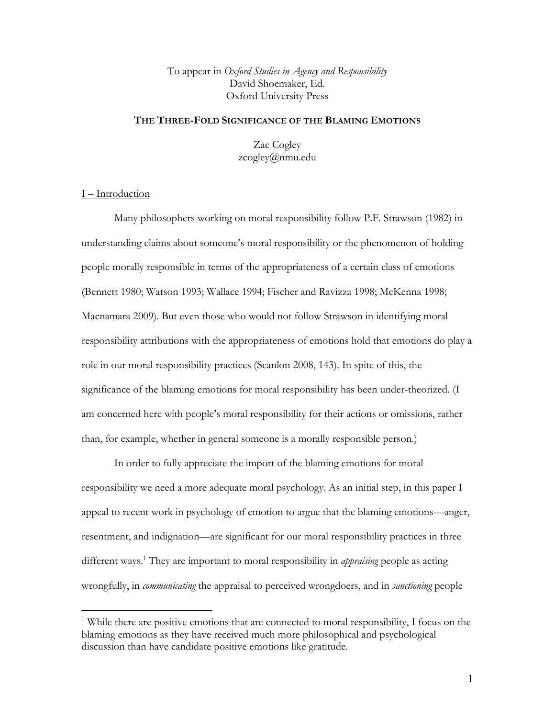# To appear in *Oxford Studies in Agency and Responsibility* David Shoemaker, Ed. Oxford University Press

## **THE THREE-FOLD SIGNIFICANCE OF THE BLAMING EMOTIONS**

Zac Cogley zcogley@nmu.edu

#### I – Introduction

 $\overline{a}$ 

Many philosophers working on moral responsibility follow P.F. Strawson (1982) in understanding claims about someone's moral responsibility or the phenomenon of holding people morally responsible in terms of the appropriateness of a certain class of emotions (Bennett 1980; Watson 1993; Wallace 1994; Fischer and Ravizza 1998; McKenna 1998; Macnamara 2009). But even those who would not follow Strawson in identifying moral responsibility attributions with the appropriateness of emotions hold that emotions do play a role in our moral responsibility practices (Scanlon 2008, 143). In spite of this, the significance of the blaming emotions for moral responsibility has been under-theorized. (I am concerned here with people's moral responsibility for their actions or omissions, rather than, for example, whether in general someone is a morally responsible person.)

In order to fully appreciate the import of the blaming emotions for moral responsibility we need a more adequate moral psychology. As an initial step, in this paper I appeal to recent work in psychology of emotion to argue that the blaming emotions—anger, resentment, and indignation—are significant for our moral responsibility practices in three different ways.<sup>1</sup> They are important to moral responsibility in *appraising* people as acting wrongfully, in *communicating* the appraisal to perceived wrongdoers, and in *sanctioning* people

<sup>&</sup>lt;sup>1</sup> While there are positive emotions that are connected to moral responsibility, I focus on the blaming emotions as they have received much more philosophical and psychological discussion than have candidate positive emotions like gratitude.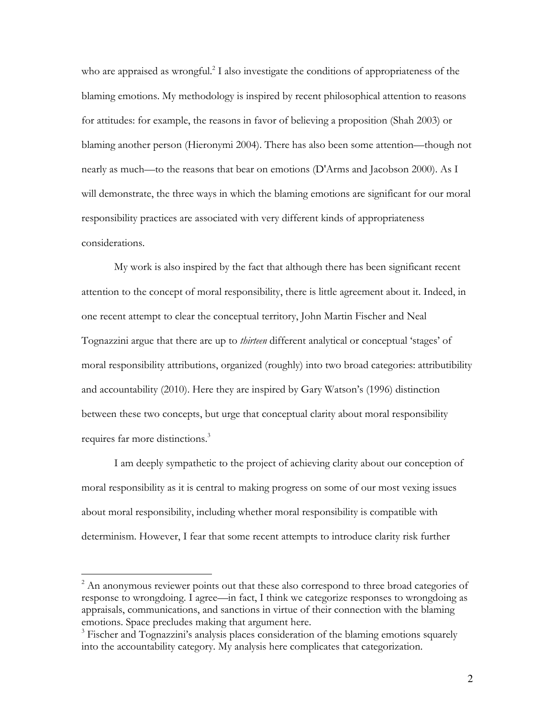who are appraised as wrongful.<sup>2</sup> I also investigate the conditions of appropriateness of the blaming emotions. My methodology is inspired by recent philosophical attention to reasons for attitudes: for example, the reasons in favor of believing a proposition (Shah 2003) or blaming another person (Hieronymi 2004). There has also been some attention—though not nearly as much—to the reasons that bear on emotions (D'Arms and Jacobson 2000). As I will demonstrate, the three ways in which the blaming emotions are significant for our moral responsibility practices are associated with very different kinds of appropriateness considerations.

My work is also inspired by the fact that although there has been significant recent attention to the concept of moral responsibility, there is little agreement about it. Indeed, in one recent attempt to clear the conceptual territory, John Martin Fischer and Neal Tognazzini argue that there are up to *thirteen* different analytical or conceptual 'stages' of moral responsibility attributions, organized (roughly) into two broad categories: attributibility and accountability (2010). Here they are inspired by Gary Watson's (1996) distinction between these two concepts, but urge that conceptual clarity about moral responsibility requires far more distinctions.<sup>3</sup>

I am deeply sympathetic to the project of achieving clarity about our conception of moral responsibility as it is central to making progress on some of our most vexing issues about moral responsibility, including whether moral responsibility is compatible with determinism. However, I fear that some recent attempts to introduce clarity risk further

<sup>&</sup>lt;sup>2</sup> An anonymous reviewer points out that these also correspond to three broad categories of response to wrongdoing. I agree—in fact, I think we categorize responses to wrongdoing as appraisals, communications, and sanctions in virtue of their connection with the blaming emotions. Space precludes making that argument here.

<sup>&</sup>lt;sup>3</sup> Fischer and Tognazzini's analysis places consideration of the blaming emotions squarely into the accountability category. My analysis here complicates that categorization.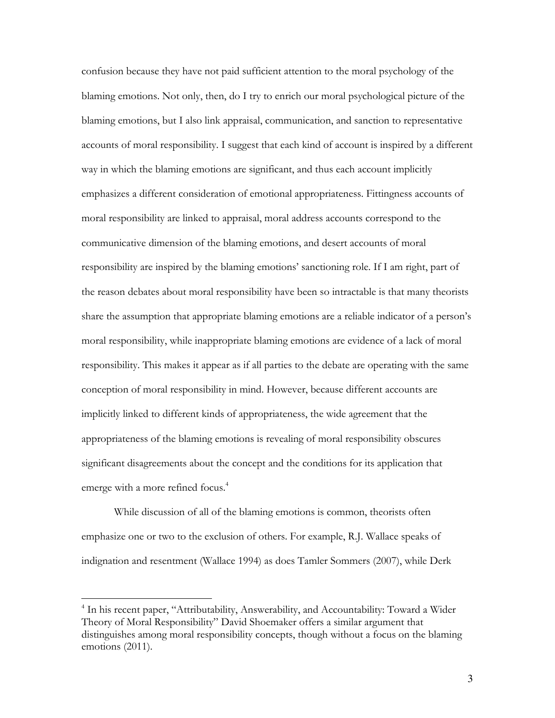confusion because they have not paid sufficient attention to the moral psychology of the blaming emotions. Not only, then, do I try to enrich our moral psychological picture of the blaming emotions, but I also link appraisal, communication, and sanction to representative accounts of moral responsibility. I suggest that each kind of account is inspired by a different way in which the blaming emotions are significant, and thus each account implicitly emphasizes a different consideration of emotional appropriateness. Fittingness accounts of moral responsibility are linked to appraisal, moral address accounts correspond to the communicative dimension of the blaming emotions, and desert accounts of moral responsibility are inspired by the blaming emotions' sanctioning role. If I am right, part of the reason debates about moral responsibility have been so intractable is that many theorists share the assumption that appropriate blaming emotions are a reliable indicator of a person's moral responsibility, while inappropriate blaming emotions are evidence of a lack of moral responsibility. This makes it appear as if all parties to the debate are operating with the same conception of moral responsibility in mind. However, because different accounts are implicitly linked to different kinds of appropriateness, the wide agreement that the appropriateness of the blaming emotions is revealing of moral responsibility obscures significant disagreements about the concept and the conditions for its application that emerge with a more refined focus.<sup>4</sup>

While discussion of all of the blaming emotions is common, theorists often emphasize one or two to the exclusion of others. For example, R.J. Wallace speaks of indignation and resentment (Wallace 1994) as does Tamler Sommers (2007), while Derk

<sup>&</sup>lt;sup>4</sup> In his recent paper, "Attributability, Answerability, and Accountability: Toward a Wider Theory of Moral Responsibility" David Shoemaker offers a similar argument that distinguishes among moral responsibility concepts, though without a focus on the blaming emotions (2011).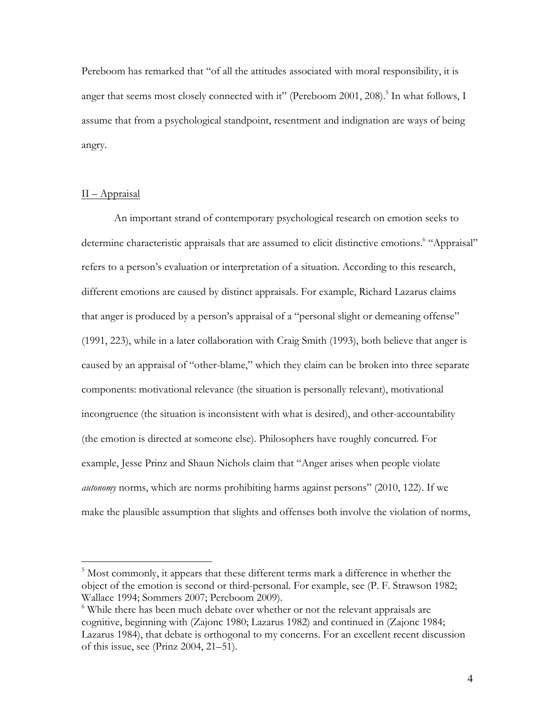Pereboom has remarked that "of all the attitudes associated with moral responsibility, it is anger that seems most closely connected with it" (Pereboom 2001, 208).<sup>5</sup> In what follows, I assume that from a psychological standpoint, resentment and indignation are ways of being angry.

## $II$  – Appraisal

 $\overline{a}$ 

An important strand of contemporary psychological research on emotion seeks to determine characteristic appraisals that are assumed to elicit distinctive emotions.<sup>6</sup> "Appraisal" refers to a person's evaluation or interpretation of a situation. According to this research, different emotions are caused by distinct appraisals. For example, Richard Lazarus claims that anger is produced by a person's appraisal of a "personal slight or demeaning offense" (1991, 223), while in a later collaboration with Craig Smith (1993), both believe that anger is caused by an appraisal of "other-blame," which they claim can be broken into three separate components: motivational relevance (the situation is personally relevant), motivational incongruence (the situation is inconsistent with what is desired), and other-accountability (the emotion is directed at someone else). Philosophers have roughly concurred. For example, Jesse Prinz and Shaun Nichols claim that "Anger arises when people violate *autonomy* norms, which are norms prohibiting harms against persons" (2010, 122). If we make the plausible assumption that slights and offenses both involve the violation of norms,

<sup>&</sup>lt;sup>5</sup> Most commonly, it appears that these different terms mark a difference in whether the object of the emotion is second or third-personal. For example, see (P. F. Strawson 1982; Wallace 1994; Sommers 2007; Pereboom 2009).

 $6$  While there has been much debate over whether or not the relevant appraisals are cognitive, beginning with (Zajonc 1980; Lazarus 1982) and continued in (Zajonc 1984; Lazarus 1984), that debate is orthogonal to my concerns. For an excellent recent discussion of this issue, see (Prinz 2004, 21–51).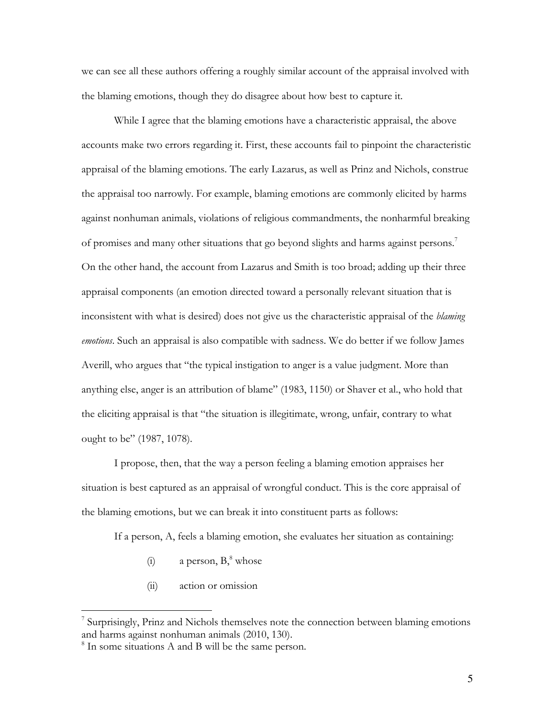we can see all these authors offering a roughly similar account of the appraisal involved with the blaming emotions, though they do disagree about how best to capture it.

While I agree that the blaming emotions have a characteristic appraisal, the above accounts make two errors regarding it. First, these accounts fail to pinpoint the characteristic appraisal of the blaming emotions. The early Lazarus, as well as Prinz and Nichols, construe the appraisal too narrowly. For example, blaming emotions are commonly elicited by harms against nonhuman animals, violations of religious commandments, the nonharmful breaking of promises and many other situations that go beyond slights and harms against persons.<sup>7</sup> On the other hand, the account from Lazarus and Smith is too broad; adding up their three appraisal components (an emotion directed toward a personally relevant situation that is inconsistent with what is desired) does not give us the characteristic appraisal of the *blaming emotions*. Such an appraisal is also compatible with sadness. We do better if we follow James Averill, who argues that "the typical instigation to anger is a value judgment. More than anything else, anger is an attribution of blame" (1983, 1150) or Shaver et al., who hold that the eliciting appraisal is that "the situation is illegitimate, wrong, unfair, contrary to what ought to be" (1987, 1078).

I propose, then, that the way a person feeling a blaming emotion appraises her situation is best captured as an appraisal of wrongful conduct. This is the core appraisal of the blaming emotions, but we can break it into constituent parts as follows:

If a person, A, feels a blaming emotion, she evaluates her situation as containing:

- (i) a person,  $B<sub>s</sub><sup>8</sup>$  whose
- (ii) action or omission

<sup>7</sup> Surprisingly, Prinz and Nichols themselves note the connection between blaming emotions and harms against nonhuman animals (2010, 130).

<sup>&</sup>lt;sup>8</sup> In some situations A and B will be the same person.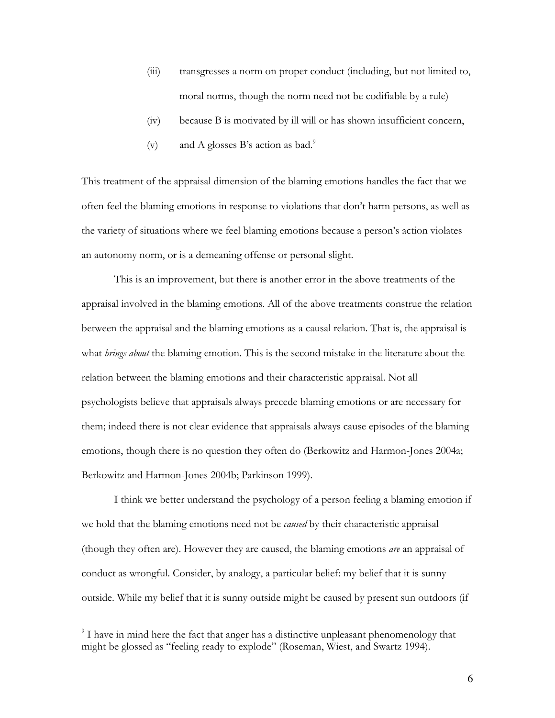- (iii) transgresses a norm on proper conduct (including, but not limited to, moral norms, though the norm need not be codifiable by a rule)
- (iv) because B is motivated by ill will or has shown insufficient concern,
- (v) and A glosses B's action as bad. $9$

This treatment of the appraisal dimension of the blaming emotions handles the fact that we often feel the blaming emotions in response to violations that don't harm persons, as well as the variety of situations where we feel blaming emotions because a person's action violates an autonomy norm, or is a demeaning offense or personal slight.

This is an improvement, but there is another error in the above treatments of the appraisal involved in the blaming emotions. All of the above treatments construe the relation between the appraisal and the blaming emotions as a causal relation. That is, the appraisal is what *brings about* the blaming emotion. This is the second mistake in the literature about the relation between the blaming emotions and their characteristic appraisal. Not all psychologists believe that appraisals always precede blaming emotions or are necessary for them; indeed there is not clear evidence that appraisals always cause episodes of the blaming emotions, though there is no question they often do (Berkowitz and Harmon-Jones 2004a; Berkowitz and Harmon-Jones 2004b; Parkinson 1999).

I think we better understand the psychology of a person feeling a blaming emotion if we hold that the blaming emotions need not be *caused* by their characteristic appraisal (though they often are). However they are caused, the blaming emotions *are* an appraisal of conduct as wrongful. Consider, by analogy, a particular belief: my belief that it is sunny outside. While my belief that it is sunny outside might be caused by present sun outdoors (if

 $9$  I have in mind here the fact that anger has a distinctive unpleasant phenomenology that might be glossed as "feeling ready to explode" (Roseman, Wiest, and Swartz 1994).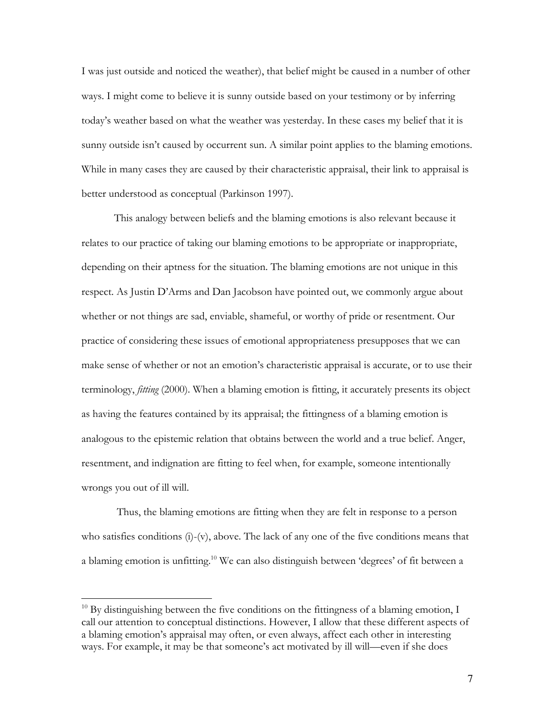I was just outside and noticed the weather), that belief might be caused in a number of other ways. I might come to believe it is sunny outside based on your testimony or by inferring today's weather based on what the weather was yesterday. In these cases my belief that it is sunny outside isn't caused by occurrent sun. A similar point applies to the blaming emotions. While in many cases they are caused by their characteristic appraisal, their link to appraisal is better understood as conceptual (Parkinson 1997).

This analogy between beliefs and the blaming emotions is also relevant because it relates to our practice of taking our blaming emotions to be appropriate or inappropriate, depending on their aptness for the situation. The blaming emotions are not unique in this respect. As Justin D'Arms and Dan Jacobson have pointed out, we commonly argue about whether or not things are sad, enviable, shameful, or worthy of pride or resentment. Our practice of considering these issues of emotional appropriateness presupposes that we can make sense of whether or not an emotion's characteristic appraisal is accurate, or to use their terminology, *fitting* (2000). When a blaming emotion is fitting, it accurately presents its object as having the features contained by its appraisal; the fittingness of a blaming emotion is analogous to the epistemic relation that obtains between the world and a true belief. Anger, resentment, and indignation are fitting to feel when, for example, someone intentionally wrongs you out of ill will.

Thus, the blaming emotions are fitting when they are felt in response to a person who satisfies conditions (i)- $(v)$ , above. The lack of any one of the five conditions means that a blaming emotion is unfitting.<sup>10</sup> We can also distinguish between 'degrees' of fit between a

 $10$  By distinguishing between the five conditions on the fittingness of a blaming emotion, I call our attention to conceptual distinctions. However, I allow that these different aspects of a blaming emotion's appraisal may often, or even always, affect each other in interesting ways. For example, it may be that someone's act motivated by ill will—even if she does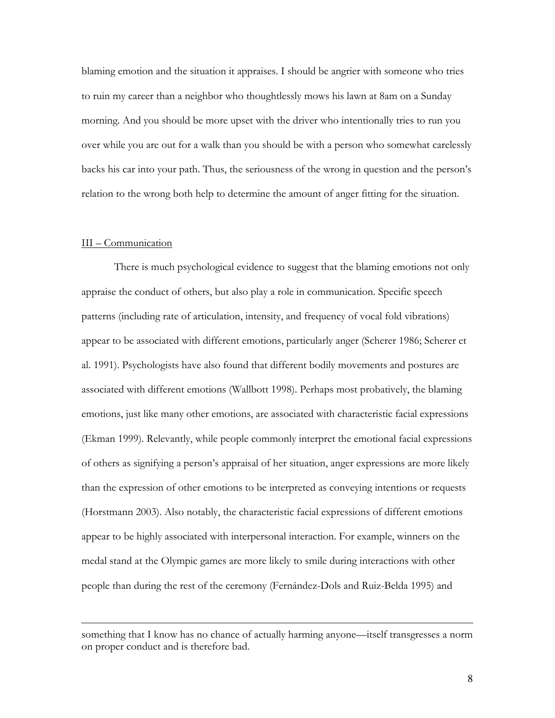blaming emotion and the situation it appraises. I should be angrier with someone who tries to ruin my career than a neighbor who thoughtlessly mows his lawn at 8am on a Sunday morning. And you should be more upset with the driver who intentionally tries to run you over while you are out for a walk than you should be with a person who somewhat carelessly backs his car into your path. Thus, the seriousness of the wrong in question and the person's relation to the wrong both help to determine the amount of anger fitting for the situation.

#### III – Communication

 $\overline{a}$ 

There is much psychological evidence to suggest that the blaming emotions not only appraise the conduct of others, but also play a role in communication. Specific speech patterns (including rate of articulation, intensity, and frequency of vocal fold vibrations) appear to be associated with different emotions, particularly anger (Scherer 1986; Scherer et al. 1991). Psychologists have also found that different bodily movements and postures are associated with different emotions (Wallbott 1998). Perhaps most probatively, the blaming emotions, just like many other emotions, are associated with characteristic facial expressions (Ekman 1999). Relevantly, while people commonly interpret the emotional facial expressions of others as signifying a person's appraisal of her situation, anger expressions are more likely than the expression of other emotions to be interpreted as conveying intentions or requests (Horstmann 2003). Also notably, the characteristic facial expressions of different emotions appear to be highly associated with interpersonal interaction. For example, winners on the medal stand at the Olympic games are more likely to smile during interactions with other people than during the rest of the ceremony (Fernández-Dols and Ruiz-Belda 1995) and

something that I know has no chance of actually harming anyone—itself transgresses a norm on proper conduct and is therefore bad.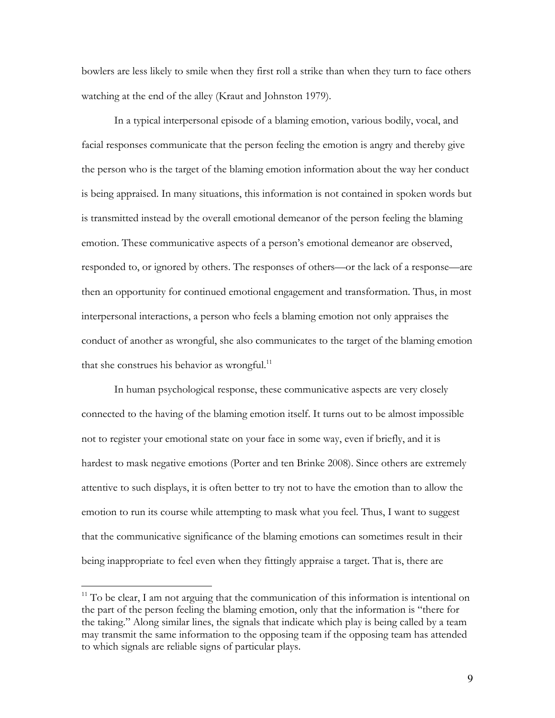bowlers are less likely to smile when they first roll a strike than when they turn to face others watching at the end of the alley (Kraut and Johnston 1979).

In a typical interpersonal episode of a blaming emotion, various bodily, vocal, and facial responses communicate that the person feeling the emotion is angry and thereby give the person who is the target of the blaming emotion information about the way her conduct is being appraised. In many situations, this information is not contained in spoken words but is transmitted instead by the overall emotional demeanor of the person feeling the blaming emotion. These communicative aspects of a person's emotional demeanor are observed, responded to, or ignored by others. The responses of others—or the lack of a response—are then an opportunity for continued emotional engagement and transformation. Thus, in most interpersonal interactions, a person who feels a blaming emotion not only appraises the conduct of another as wrongful, she also communicates to the target of the blaming emotion that she construes his behavior as wrongful. $^{11}$ 

In human psychological response, these communicative aspects are very closely connected to the having of the blaming emotion itself. It turns out to be almost impossible not to register your emotional state on your face in some way, even if briefly, and it is hardest to mask negative emotions (Porter and ten Brinke 2008). Since others are extremely attentive to such displays, it is often better to try not to have the emotion than to allow the emotion to run its course while attempting to mask what you feel. Thus, I want to suggest that the communicative significance of the blaming emotions can sometimes result in their being inappropriate to feel even when they fittingly appraise a target. That is, there are

 $11$ <sup>11</sup> To be clear, I am not arguing that the communication of this information is intentional on the part of the person feeling the blaming emotion, only that the information is "there for the taking." Along similar lines, the signals that indicate which play is being called by a team may transmit the same information to the opposing team if the opposing team has attended to which signals are reliable signs of particular plays.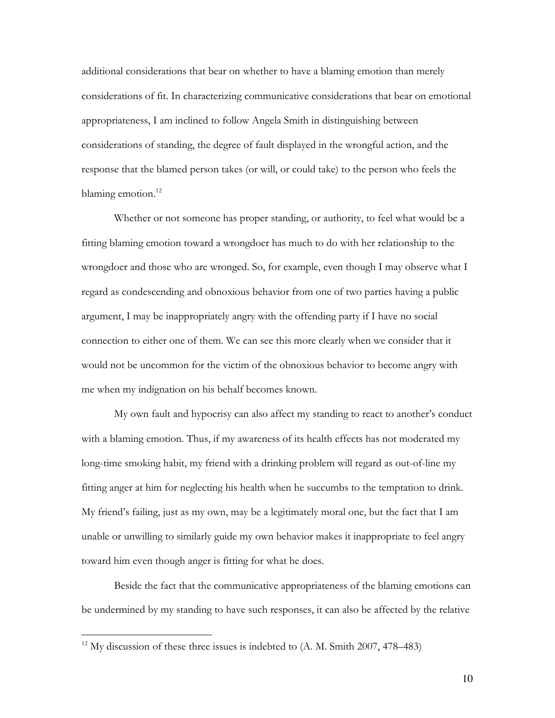additional considerations that bear on whether to have a blaming emotion than merely considerations of fit. In characterizing communicative considerations that bear on emotional appropriateness, I am inclined to follow Angela Smith in distinguishing between considerations of standing, the degree of fault displayed in the wrongful action, and the response that the blamed person takes (or will, or could take) to the person who feels the blaming emotion.<sup>12</sup>

Whether or not someone has proper standing, or authority, to feel what would be a fitting blaming emotion toward a wrongdoer has much to do with her relationship to the wrongdoer and those who are wronged. So, for example, even though I may observe what I regard as condescending and obnoxious behavior from one of two parties having a public argument, I may be inappropriately angry with the offending party if I have no social connection to either one of them. We can see this more clearly when we consider that it would not be uncommon for the victim of the obnoxious behavior to become angry with me when my indignation on his behalf becomes known.

My own fault and hypocrisy can also affect my standing to react to another's conduct with a blaming emotion. Thus, if my awareness of its health effects has not moderated my long-time smoking habit, my friend with a drinking problem will regard as out-of-line my fitting anger at him for neglecting his health when he succumbs to the temptation to drink. My friend's failing, just as my own, may be a legitimately moral one, but the fact that I am unable or unwilling to similarly guide my own behavior makes it inappropriate to feel angry toward him even though anger is fitting for what he does.

Beside the fact that the communicative appropriateness of the blaming emotions can be undermined by my standing to have such responses, it can also be affected by the relative

 $\overline{a}$ 

10

 $12$  My discussion of these three issues is indebted to (A. M. Smith 2007, 478–483)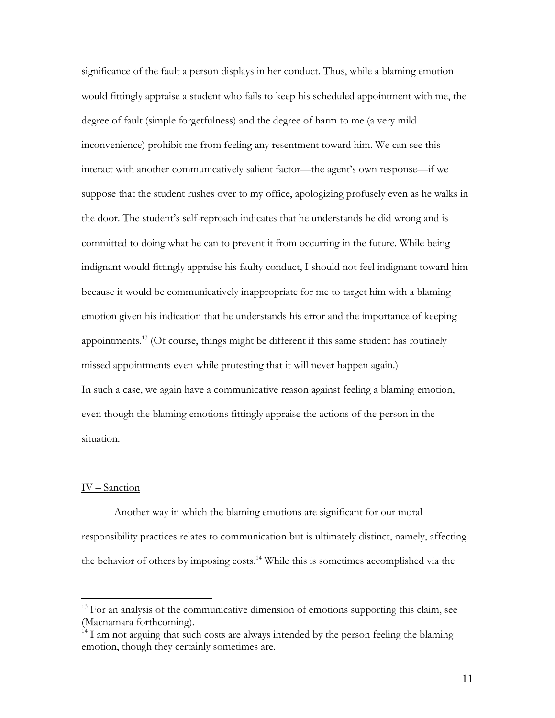significance of the fault a person displays in her conduct. Thus, while a blaming emotion would fittingly appraise a student who fails to keep his scheduled appointment with me, the degree of fault (simple forgetfulness) and the degree of harm to me (a very mild inconvenience) prohibit me from feeling any resentment toward him. We can see this interact with another communicatively salient factor—the agent's own response—if we suppose that the student rushes over to my office, apologizing profusely even as he walks in the door. The student's self-reproach indicates that he understands he did wrong and is committed to doing what he can to prevent it from occurring in the future. While being indignant would fittingly appraise his faulty conduct, I should not feel indignant toward him because it would be communicatively inappropriate for me to target him with a blaming emotion given his indication that he understands his error and the importance of keeping appointments.<sup>13</sup> (Of course, things might be different if this same student has routinely missed appointments even while protesting that it will never happen again.) In such a case, we again have a communicative reason against feeling a blaming emotion, even though the blaming emotions fittingly appraise the actions of the person in the situation.

# IV – Sanction

 $\overline{a}$ 

Another way in which the blaming emotions are significant for our moral responsibility practices relates to communication but is ultimately distinct, namely, affecting the behavior of others by imposing costs.<sup>14</sup> While this is sometimes accomplished via the

<sup>&</sup>lt;sup>13</sup> For an analysis of the communicative dimension of emotions supporting this claim, see (Macnamara forthcoming). 14 I am not arguing that such costs are always intended by the person feeling the blaming

emotion, though they certainly sometimes are.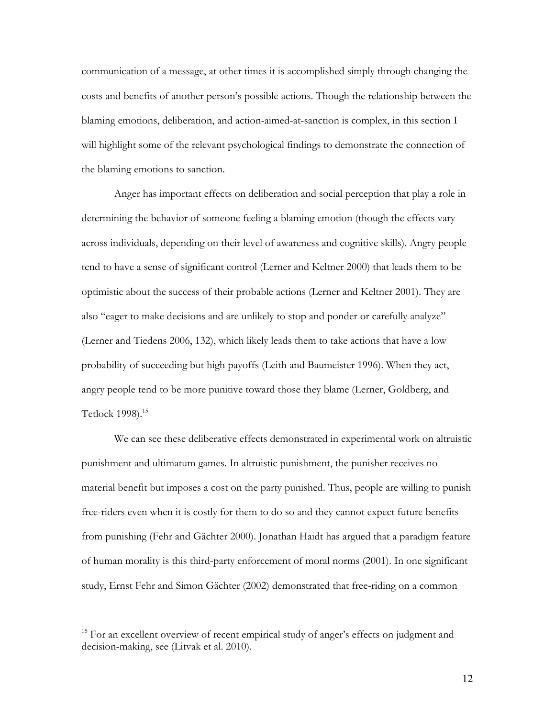communication of a message, at other times it is accomplished simply through changing the costs and benefits of another person's possible actions. Though the relationship between the blaming emotions, deliberation, and action-aimed-at-sanction is complex, in this section I will highlight some of the relevant psychological findings to demonstrate the connection of the blaming emotions to sanction.

Anger has important effects on deliberation and social perception that play a role in determining the behavior of someone feeling a blaming emotion (though the effects vary across individuals, depending on their level of awareness and cognitive skills). Angry people tend to have a sense of significant control (Lerner and Keltner 2000) that leads them to be optimistic about the success of their probable actions (Lerner and Keltner 2001). They are also "eager to make decisions and are unlikely to stop and ponder or carefully analyze" (Lerner and Tiedens 2006, 132), which likely leads them to take actions that have a low probability of succeeding but high payoffs (Leith and Baumeister 1996). When they act, angry people tend to be more punitive toward those they blame (Lerner, Goldberg, and Tetlock 1998). 15

We can see these deliberative effects demonstrated in experimental work on altruistic punishment and ultimatum games. In altruistic punishment, the punisher receives no material benefit but imposes a cost on the party punished. Thus, people are willing to punish free-riders even when it is costly for them to do so and they cannot expect future benefits from punishing (Fehr and Gächter 2000). Jonathan Haidt has argued that a paradigm feature of human morality is this third-party enforcement of moral norms (2001). In one significant study, Ernst Fehr and Simon Gächter (2002) demonstrated that free-riding on a common

<sup>&</sup>lt;sup>15</sup> For an excellent overview of recent empirical study of anger's effects on judgment and decision-making, see (Litvak et al. 2010).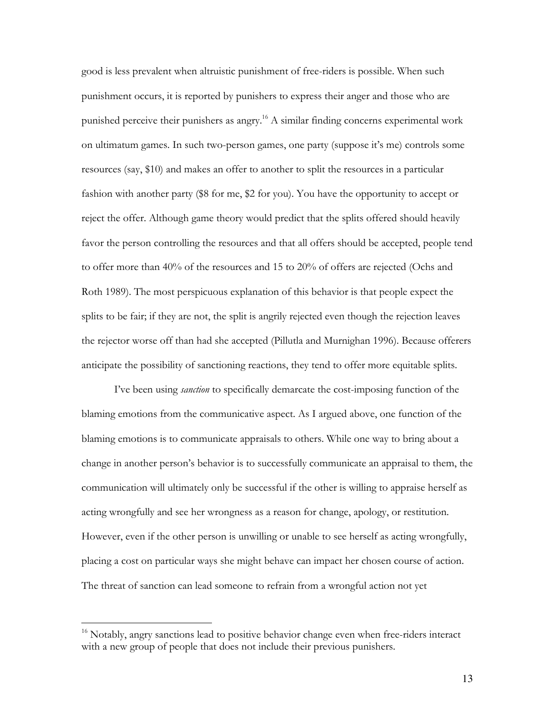good is less prevalent when altruistic punishment of free-riders is possible. When such punishment occurs, it is reported by punishers to express their anger and those who are punished perceive their punishers as angry.<sup>16</sup> A similar finding concerns experimental work on ultimatum games. In such two-person games, one party (suppose it's me) controls some resources (say, \$10) and makes an offer to another to split the resources in a particular fashion with another party (\$8 for me, \$2 for you). You have the opportunity to accept or reject the offer. Although game theory would predict that the splits offered should heavily favor the person controlling the resources and that all offers should be accepted, people tend to offer more than 40% of the resources and 15 to 20% of offers are rejected (Ochs and Roth 1989). The most perspicuous explanation of this behavior is that people expect the splits to be fair; if they are not, the split is angrily rejected even though the rejection leaves the rejector worse off than had she accepted (Pillutla and Murnighan 1996). Because offerers anticipate the possibility of sanctioning reactions, they tend to offer more equitable splits.

I've been using *sanction* to specifically demarcate the cost-imposing function of the blaming emotions from the communicative aspect. As I argued above, one function of the blaming emotions is to communicate appraisals to others. While one way to bring about a change in another person's behavior is to successfully communicate an appraisal to them, the communication will ultimately only be successful if the other is willing to appraise herself as acting wrongfully and see her wrongness as a reason for change, apology, or restitution. However, even if the other person is unwilling or unable to see herself as acting wrongfully, placing a cost on particular ways she might behave can impact her chosen course of action. The threat of sanction can lead someone to refrain from a wrongful action not yet

<sup>&</sup>lt;sup>16</sup> Notably, angry sanctions lead to positive behavior change even when free-riders interact with a new group of people that does not include their previous punishers.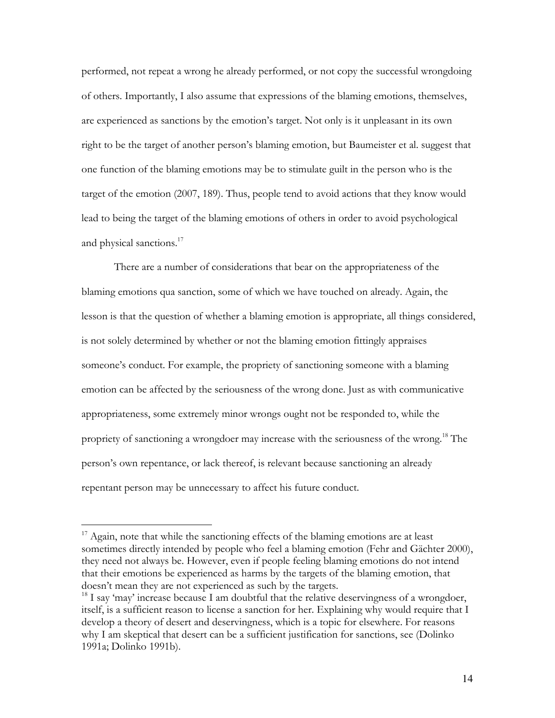performed, not repeat a wrong he already performed, or not copy the successful wrongdoing of others. Importantly, I also assume that expressions of the blaming emotions, themselves, are experienced as sanctions by the emotion's target. Not only is it unpleasant in its own right to be the target of another person's blaming emotion, but Baumeister et al. suggest that one function of the blaming emotions may be to stimulate guilt in the person who is the target of the emotion (2007, 189). Thus, people tend to avoid actions that they know would lead to being the target of the blaming emotions of others in order to avoid psychological and physical sanctions.<sup>17</sup>

There are a number of considerations that bear on the appropriateness of the blaming emotions qua sanction, some of which we have touched on already. Again, the lesson is that the question of whether a blaming emotion is appropriate, all things considered, is not solely determined by whether or not the blaming emotion fittingly appraises someone's conduct. For example, the propriety of sanctioning someone with a blaming emotion can be affected by the seriousness of the wrong done. Just as with communicative appropriateness, some extremely minor wrongs ought not be responded to, while the propriety of sanctioning a wrongdoer may increase with the seriousness of the wrong.<sup>18</sup> The person's own repentance, or lack thereof, is relevant because sanctioning an already repentant person may be unnecessary to affect his future conduct.

 $17$  Again, note that while the sanctioning effects of the blaming emotions are at least sometimes directly intended by people who feel a blaming emotion (Fehr and Gächter 2000), they need not always be. However, even if people feeling blaming emotions do not intend that their emotions be experienced as harms by the targets of the blaming emotion, that doesn't mean they are not experienced as such by the targets.

 $^{18}$  I say 'may' increase because I am doubtful that the relative deservingness of a wrongdoer, itself, is a sufficient reason to license a sanction for her. Explaining why would require that I develop a theory of desert and deservingness, which is a topic for elsewhere. For reasons why I am skeptical that desert can be a sufficient justification for sanctions, see (Dolinko 1991a; Dolinko 1991b).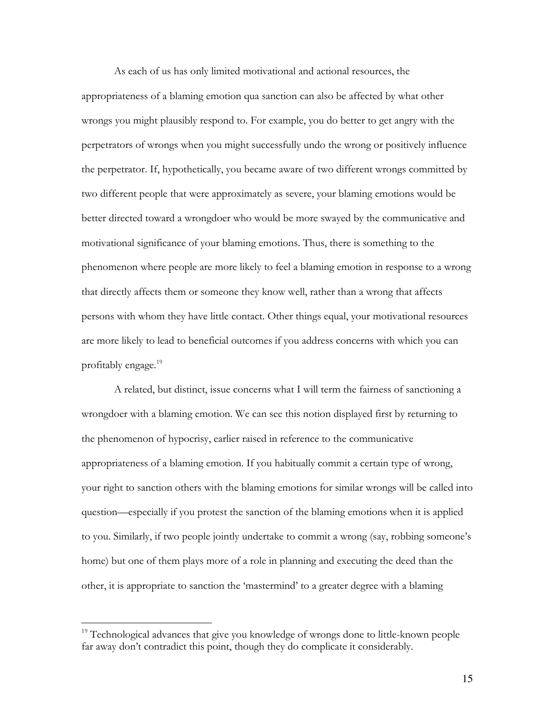As each of us has only limited motivational and actional resources, the appropriateness of a blaming emotion qua sanction can also be affected by what other wrongs you might plausibly respond to. For example, you do better to get angry with the perpetrators of wrongs when you might successfully undo the wrong or positively influence the perpetrator. If, hypothetically, you became aware of two different wrongs committed by two different people that were approximately as severe, your blaming emotions would be better directed toward a wrongdoer who would be more swayed by the communicative and motivational significance of your blaming emotions. Thus, there is something to the phenomenon where people are more likely to feel a blaming emotion in response to a wrong that directly affects them or someone they know well, rather than a wrong that affects persons with whom they have little contact. Other things equal, your motivational resources are more likely to lead to beneficial outcomes if you address concerns with which you can profitably engage.<sup>19</sup>

A related, but distinct, issue concerns what I will term the fairness of sanctioning a wrongdoer with a blaming emotion. We can see this notion displayed first by returning to the phenomenon of hypocrisy, earlier raised in reference to the communicative appropriateness of a blaming emotion. If you habitually commit a certain type of wrong, your right to sanction others with the blaming emotions for similar wrongs will be called into question—especially if you protest the sanction of the blaming emotions when it is applied to you. Similarly, if two people jointly undertake to commit a wrong (say, robbing someone's home) but one of them plays more of a role in planning and executing the deed than the other, it is appropriate to sanction the 'mastermind' to a greater degree with a blaming

<sup>&</sup>lt;sup>19</sup> Technological advances that give you knowledge of wrongs done to little-known people far away don't contradict this point, though they do complicate it considerably.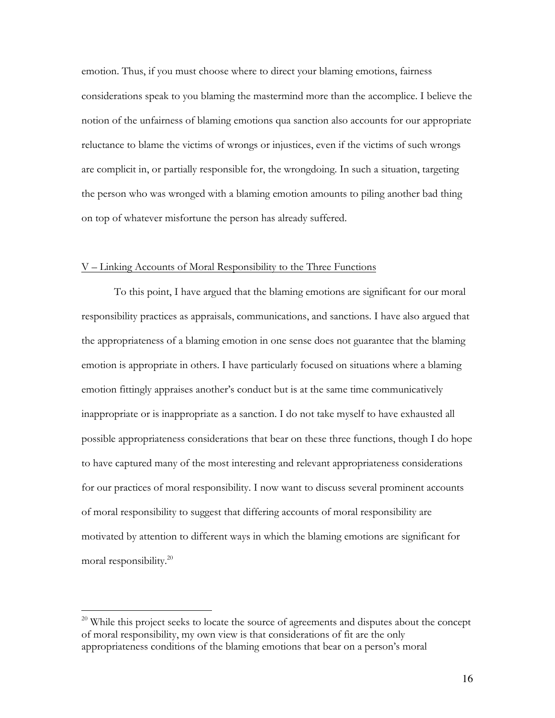emotion. Thus, if you must choose where to direct your blaming emotions, fairness considerations speak to you blaming the mastermind more than the accomplice. I believe the notion of the unfairness of blaming emotions qua sanction also accounts for our appropriate reluctance to blame the victims of wrongs or injustices, even if the victims of such wrongs are complicit in, or partially responsible for, the wrongdoing. In such a situation, targeting the person who was wronged with a blaming emotion amounts to piling another bad thing on top of whatever misfortune the person has already suffered.

## V – Linking Accounts of Moral Responsibility to the Three Functions

To this point, I have argued that the blaming emotions are significant for our moral responsibility practices as appraisals, communications, and sanctions. I have also argued that the appropriateness of a blaming emotion in one sense does not guarantee that the blaming emotion is appropriate in others. I have particularly focused on situations where a blaming emotion fittingly appraises another's conduct but is at the same time communicatively inappropriate or is inappropriate as a sanction. I do not take myself to have exhausted all possible appropriateness considerations that bear on these three functions, though I do hope to have captured many of the most interesting and relevant appropriateness considerations for our practices of moral responsibility. I now want to discuss several prominent accounts of moral responsibility to suggest that differing accounts of moral responsibility are motivated by attention to different ways in which the blaming emotions are significant for moral responsibility. 20

<sup>&</sup>lt;sup>20</sup> While this project seeks to locate the source of agreements and disputes about the concept of moral responsibility, my own view is that considerations of fit are the only appropriateness conditions of the blaming emotions that bear on a person's moral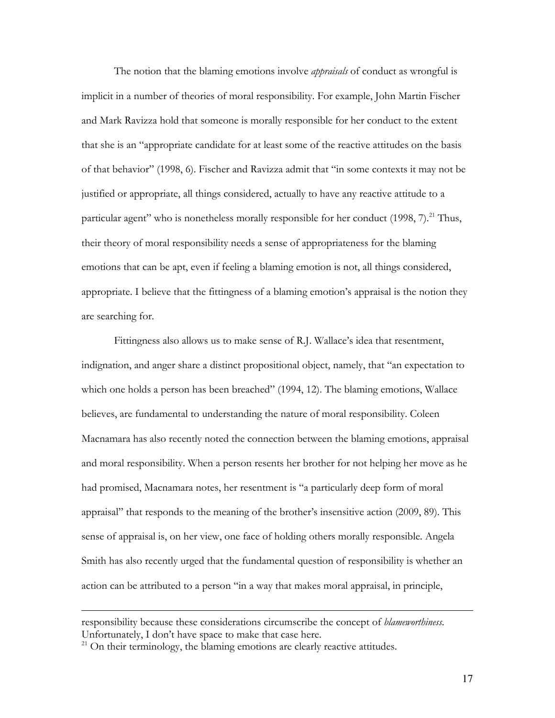The notion that the blaming emotions involve *appraisals* of conduct as wrongful is implicit in a number of theories of moral responsibility. For example, John Martin Fischer and Mark Ravizza hold that someone is morally responsible for her conduct to the extent that she is an "appropriate candidate for at least some of the reactive attitudes on the basis of that behavior" (1998, 6). Fischer and Ravizza admit that "in some contexts it may not be justified or appropriate, all things considered, actually to have any reactive attitude to a particular agent" who is nonetheless morally responsible for her conduct (1998, 7).<sup>21</sup> Thus, their theory of moral responsibility needs a sense of appropriateness for the blaming emotions that can be apt, even if feeling a blaming emotion is not, all things considered, appropriate. I believe that the fittingness of a blaming emotion's appraisal is the notion they are searching for.

Fittingness also allows us to make sense of R.J. Wallace's idea that resentment, indignation, and anger share a distinct propositional object, namely, that "an expectation to which one holds a person has been breached" (1994, 12). The blaming emotions, Wallace believes, are fundamental to understanding the nature of moral responsibility. Coleen Macnamara has also recently noted the connection between the blaming emotions, appraisal and moral responsibility. When a person resents her brother for not helping her move as he had promised, Macnamara notes, her resentment is "a particularly deep form of moral appraisal" that responds to the meaning of the brother's insensitive action (2009, 89). This sense of appraisal is, on her view, one face of holding others morally responsible. Angela Smith has also recently urged that the fundamental question of responsibility is whether an action can be attributed to a person "in a way that makes moral appraisal, in principle,

responsibility because these considerations circumscribe the concept of *blameworthiness*. Unfortunately, I don't have space to make that case here.

 $21$  On their terminology, the blaming emotions are clearly reactive attitudes.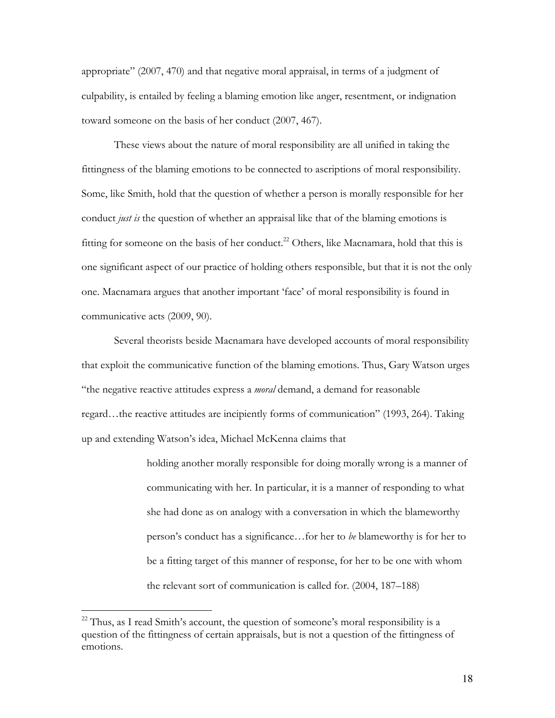appropriate" (2007, 470) and that negative moral appraisal, in terms of a judgment of culpability, is entailed by feeling a blaming emotion like anger, resentment, or indignation toward someone on the basis of her conduct (2007, 467).

These views about the nature of moral responsibility are all unified in taking the fittingness of the blaming emotions to be connected to ascriptions of moral responsibility. Some, like Smith, hold that the question of whether a person is morally responsible for her conduct *just is* the question of whether an appraisal like that of the blaming emotions is fitting for someone on the basis of her conduct.<sup>22</sup> Others, like Macnamara, hold that this is one significant aspect of our practice of holding others responsible, but that it is not the only one. Macnamara argues that another important 'face' of moral responsibility is found in communicative acts (2009, 90).

Several theorists beside Macnamara have developed accounts of moral responsibility that exploit the communicative function of the blaming emotions. Thus, Gary Watson urges "the negative reactive attitudes express a *moral* demand, a demand for reasonable regard…the reactive attitudes are incipiently forms of communication" (1993, 264). Taking up and extending Watson's idea, Michael McKenna claims that

> holding another morally responsible for doing morally wrong is a manner of communicating with her. In particular, it is a manner of responding to what she had done as on analogy with a conversation in which the blameworthy person's conduct has a significance…for her to *be* blameworthy is for her to be a fitting target of this manner of response, for her to be one with whom the relevant sort of communication is called for. (2004, 187–188)

 $22$  Thus, as I read Smith's account, the question of someone's moral responsibility is a question of the fittingness of certain appraisals, but is not a question of the fittingness of emotions.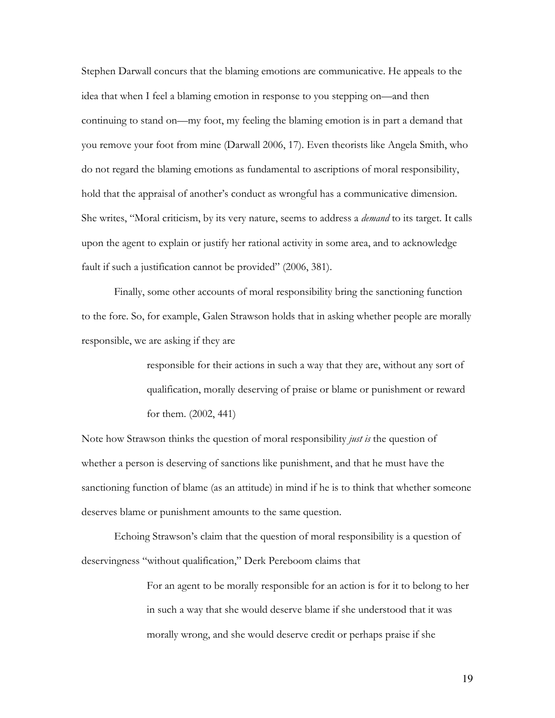Stephen Darwall concurs that the blaming emotions are communicative. He appeals to the idea that when I feel a blaming emotion in response to you stepping on—and then continuing to stand on—my foot, my feeling the blaming emotion is in part a demand that you remove your foot from mine (Darwall 2006, 17). Even theorists like Angela Smith, who do not regard the blaming emotions as fundamental to ascriptions of moral responsibility, hold that the appraisal of another's conduct as wrongful has a communicative dimension. She writes, "Moral criticism, by its very nature, seems to address a *demand* to its target. It calls upon the agent to explain or justify her rational activity in some area, and to acknowledge fault if such a justification cannot be provided" (2006, 381).

Finally, some other accounts of moral responsibility bring the sanctioning function to the fore. So, for example, Galen Strawson holds that in asking whether people are morally responsible, we are asking if they are

> responsible for their actions in such a way that they are, without any sort of qualification, morally deserving of praise or blame or punishment or reward for them. (2002, 441)

Note how Strawson thinks the question of moral responsibility *just is* the question of whether a person is deserving of sanctions like punishment, and that he must have the sanctioning function of blame (as an attitude) in mind if he is to think that whether someone deserves blame or punishment amounts to the same question.

Echoing Strawson's claim that the question of moral responsibility is a question of deservingness "without qualification," Derk Pereboom claims that

> For an agent to be morally responsible for an action is for it to belong to her in such a way that she would deserve blame if she understood that it was morally wrong, and she would deserve credit or perhaps praise if she

> > 19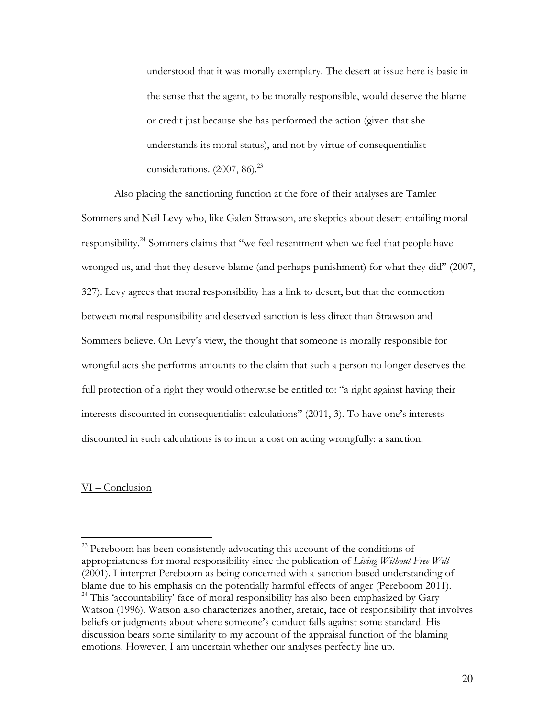understood that it was morally exemplary. The desert at issue here is basic in the sense that the agent, to be morally responsible, would deserve the blame or credit just because she has performed the action (given that she understands its moral status), and not by virtue of consequentialist considerations. (2007, 86). 23

Also placing the sanctioning function at the fore of their analyses are Tamler Sommers and Neil Levy who, like Galen Strawson, are skeptics about desert-entailing moral responsibility.<sup>24</sup> Sommers claims that "we feel resentment when we feel that people have wronged us, and that they deserve blame (and perhaps punishment) for what they did" (2007, 327). Levy agrees that moral responsibility has a link to desert, but that the connection between moral responsibility and deserved sanction is less direct than Strawson and Sommers believe. On Levy's view, the thought that someone is morally responsible for wrongful acts she performs amounts to the claim that such a person no longer deserves the full protection of a right they would otherwise be entitled to: "a right against having their interests discounted in consequentialist calculations" (2011, 3). To have one's interests discounted in such calculations is to incur a cost on acting wrongfully: a sanction.

### VI – Conclusion

<sup>&</sup>lt;sup>23</sup> Pereboom has been consistently advocating this account of the conditions of appropriateness for moral responsibility since the publication of *Living Without Free Will* (2001). I interpret Pereboom as being concerned with a sanction-based understanding of blame due to his emphasis on the potentially harmful effects of anger (Pereboom 2011).  $24$  This 'accountability' face of moral responsibility has also been emphasized by Gary Watson (1996). Watson also characterizes another, aretaic, face of responsibility that involves beliefs or judgments about where someone's conduct falls against some standard. His discussion bears some similarity to my account of the appraisal function of the blaming emotions. However, I am uncertain whether our analyses perfectly line up.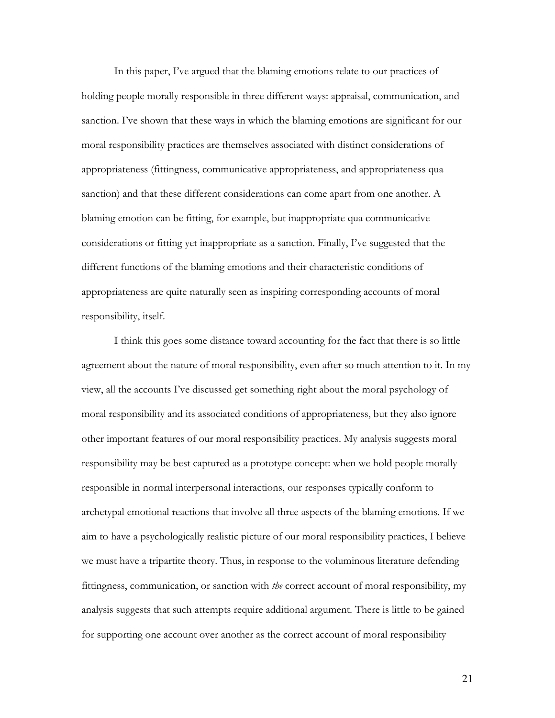In this paper, I've argued that the blaming emotions relate to our practices of holding people morally responsible in three different ways: appraisal, communication, and sanction. I've shown that these ways in which the blaming emotions are significant for our moral responsibility practices are themselves associated with distinct considerations of appropriateness (fittingness, communicative appropriateness, and appropriateness qua sanction) and that these different considerations can come apart from one another. A blaming emotion can be fitting, for example, but inappropriate qua communicative considerations or fitting yet inappropriate as a sanction. Finally, I've suggested that the different functions of the blaming emotions and their characteristic conditions of appropriateness are quite naturally seen as inspiring corresponding accounts of moral responsibility, itself.

I think this goes some distance toward accounting for the fact that there is so little agreement about the nature of moral responsibility, even after so much attention to it. In my view, all the accounts I've discussed get something right about the moral psychology of moral responsibility and its associated conditions of appropriateness, but they also ignore other important features of our moral responsibility practices. My analysis suggests moral responsibility may be best captured as a prototype concept: when we hold people morally responsible in normal interpersonal interactions, our responses typically conform to archetypal emotional reactions that involve all three aspects of the blaming emotions. If we aim to have a psychologically realistic picture of our moral responsibility practices, I believe we must have a tripartite theory. Thus, in response to the voluminous literature defending fittingness, communication, or sanction with *the* correct account of moral responsibility, my analysis suggests that such attempts require additional argument. There is little to be gained for supporting one account over another as the correct account of moral responsibility

21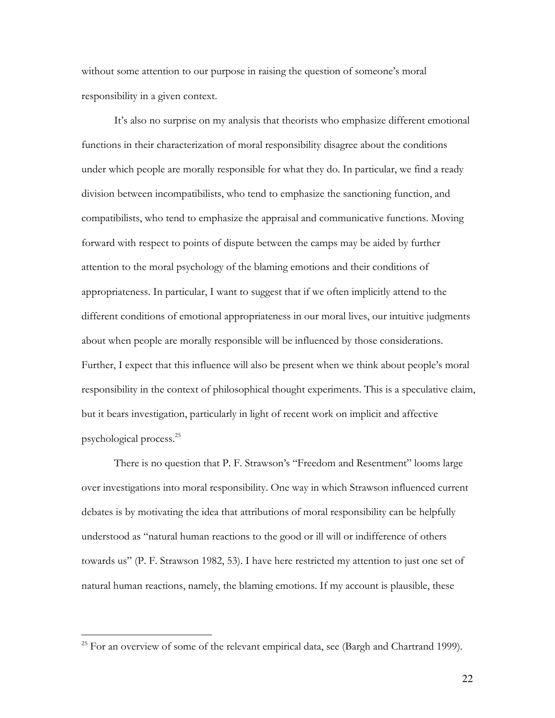without some attention to our purpose in raising the question of someone's moral responsibility in a given context.

It's also no surprise on my analysis that theorists who emphasize different emotional functions in their characterization of moral responsibility disagree about the conditions under which people are morally responsible for what they do. In particular, we find a ready division between incompatibilists, who tend to emphasize the sanctioning function, and compatibilists, who tend to emphasize the appraisal and communicative functions. Moving forward with respect to points of dispute between the camps may be aided by further attention to the moral psychology of the blaming emotions and their conditions of appropriateness. In particular, I want to suggest that if we often implicitly attend to the different conditions of emotional appropriateness in our moral lives, our intuitive judgments about when people are morally responsible will be influenced by those considerations. Further, I expect that this influence will also be present when we think about people's moral responsibility in the context of philosophical thought experiments. This is a speculative claim, but it bears investigation, particularly in light of recent work on implicit and affective psychological process.25

There is no question that P. F. Strawson's "Freedom and Resentment" looms large over investigations into moral responsibility. One way in which Strawson influenced current debates is by motivating the idea that attributions of moral responsibility can be helpfully understood as "natural human reactions to the good or ill will or indifference of others towards us" (P. F. Strawson 1982, 53). I have here restricted my attention to just one set of natural human reactions, namely, the blaming emotions. If my account is plausible, these

<sup>&</sup>lt;sup>25</sup> For an overview of some of the relevant empirical data, see (Bargh and Chartrand 1999).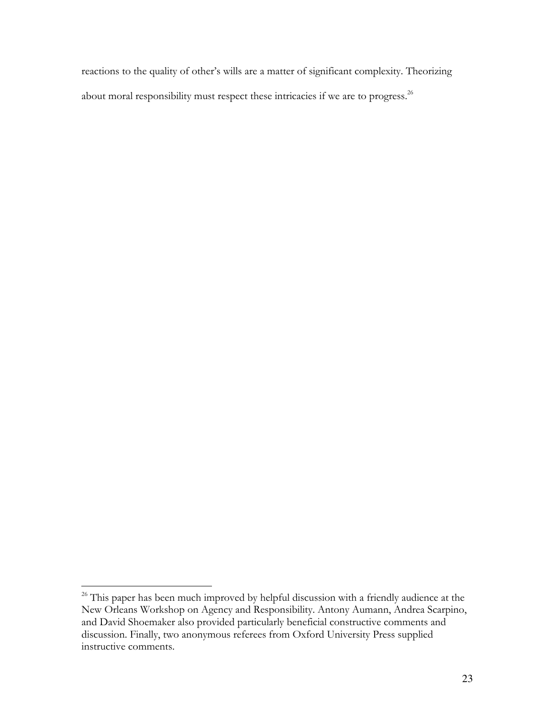reactions to the quality of other's wills are a matter of significant complexity. Theorizing about moral responsibility must respect these intricacies if we are to progress.<sup>26</sup>

<sup>&</sup>lt;sup>26</sup> This paper has been much improved by helpful discussion with a friendly audience at the New Orleans Workshop on Agency and Responsibility. Antony Aumann, Andrea Scarpino, and David Shoemaker also provided particularly beneficial constructive comments and discussion. Finally, two anonymous referees from Oxford University Press supplied instructive comments.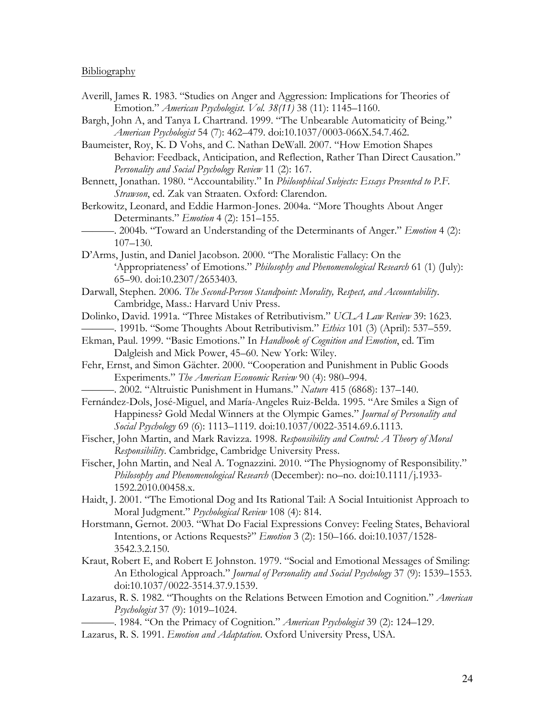## **Bibliography**

- Averill, James R. 1983. "Studies on Anger and Aggression: Implications for Theories of Emotion." *American Psychologist. Vol. 38(11)* 38 (11): 1145–1160.
- Bargh, John A, and Tanya L Chartrand. 1999. "The Unbearable Automaticity of Being." *American Psychologist* 54 (7): 462–479. doi:10.1037/0003-066X.54.7.462.
- Baumeister, Roy, K. D Vohs, and C. Nathan DeWall. 2007. "How Emotion Shapes Behavior: Feedback, Anticipation, and Reflection, Rather Than Direct Causation." *Personality and Social Psychology Review* 11 (2): 167.
- Bennett, Jonathan. 1980. "Accountability." In *Philosophical Subjects: Essays Presented to P.F. Strawson*, ed. Zak van Straaten. Oxford: Clarendon.
- Berkowitz, Leonard, and Eddie Harmon-Jones. 2004a. "More Thoughts About Anger Determinants." *Emotion* 4 (2): 151–155.
- ———. 2004b. "Toward an Understanding of the Determinants of Anger." *Emotion* 4 (2): 107–130.
- D'Arms, Justin, and Daniel Jacobson. 2000. "The Moralistic Fallacy: On the 'Appropriateness' of Emotions." *Philosophy and Phenomenological Research* 61 (1) (July): 65–90. doi:10.2307/2653403.
- Darwall, Stephen. 2006. *The Second-Person Standpoint: Morality, Respect, and Accountability*. Cambridge, Mass.: Harvard Univ Press.
- Dolinko, David. 1991a. "Three Mistakes of Retributivism." *UCLA Law Review* 39: 1623. ———. 1991b. "Some Thoughts About Retributivism." *Ethics* 101 (3) (April): 537–559.
- Ekman, Paul. 1999. "Basic Emotions." In *Handbook of Cognition and Emotion*, ed. Tim Dalgleish and Mick Power, 45–60. New York: Wiley.
- Fehr, Ernst, and Simon Gächter. 2000. "Cooperation and Punishment in Public Goods Experiments." *The American Economic Review* 90 (4): 980–994.
	- ———. 2002. "Altruistic Punishment in Humans." *Nature* 415 (6868): 137–140.
- Fernández-Dols, José-Miguel, and María-Angeles Ruiz-Belda. 1995. "Are Smiles a Sign of Happiness? Gold Medal Winners at the Olympic Games." *Journal of Personality and Social Psychology* 69 (6): 1113–1119. doi:10.1037/0022-3514.69.6.1113.
- Fischer, John Martin, and Mark Ravizza. 1998. *Responsibility and Control: A Theory of Moral Responsibility*. Cambridge, Cambridge University Press.
- Fischer, John Martin, and Neal A. Tognazzini. 2010. "The Physiognomy of Responsibility." *Philosophy and Phenomenological Research* (December): no–no. doi:10.1111/j.1933- 1592.2010.00458.x.
- Haidt, J. 2001. "The Emotional Dog and Its Rational Tail: A Social Intuitionist Approach to Moral Judgment." *Psychological Review* 108 (4): 814.
- Horstmann, Gernot. 2003. "What Do Facial Expressions Convey: Feeling States, Behavioral Intentions, or Actions Requests?" *Emotion* 3 (2): 150–166. doi:10.1037/1528- 3542.3.2.150.
- Kraut, Robert E, and Robert E Johnston. 1979. "Social and Emotional Messages of Smiling: An Ethological Approach." *Journal of Personality and Social Psychology* 37 (9): 1539–1553. doi:10.1037/0022-3514.37.9.1539.
- Lazarus, R. S. 1982. "Thoughts on the Relations Between Emotion and Cognition." *American Psychologist* 37 (9): 1019–1024.

———. 1984. "On the Primacy of Cognition." *American Psychologist* 39 (2): 124–129.

Lazarus, R. S. 1991. *Emotion and Adaptation*. Oxford University Press, USA.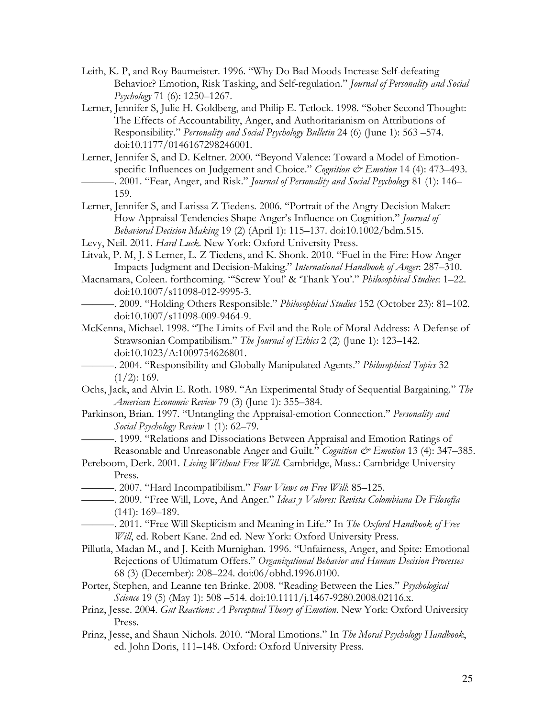- Leith, K. P, and Roy Baumeister. 1996. "Why Do Bad Moods Increase Self-defeating Behavior? Emotion, Risk Tasking, and Self-regulation." *Journal of Personality and Social Psychology* 71 (6): 1250–1267.
- Lerner, Jennifer S, Julie H. Goldberg, and Philip E. Tetlock. 1998. "Sober Second Thought: The Effects of Accountability, Anger, and Authoritarianism on Attributions of Responsibility." *Personality and Social Psychology Bulletin* 24 (6) (June 1): 563 –574. doi:10.1177/0146167298246001.
- Lerner, Jennifer S, and D. Keltner. 2000. "Beyond Valence: Toward a Model of Emotionspecific Influences on Judgement and Choice." *Cognition & Emotion* 14 (4): 473–493. ———. 2001. "Fear, Anger, and Risk." *Journal of Personality and Social Psychology* 81 (1): 146– 159.
- Lerner, Jennifer S, and Larissa Z Tiedens. 2006. "Portrait of the Angry Decision Maker: How Appraisal Tendencies Shape Anger's Influence on Cognition." *Journal of Behavioral Decision Making* 19 (2) (April 1): 115–137. doi:10.1002/bdm.515.
- Levy, Neil. 2011. *Hard Luck*. New York: Oxford University Press.
- Litvak, P. M, J. S Lerner, L. Z Tiedens, and K. Shonk. 2010. "Fuel in the Fire: How Anger Impacts Judgment and Decision-Making." *International Handbook of Anger*: 287–310.
- Macnamara, Coleen. forthcoming. "'Screw You!' & 'Thank You'." *Philosophical Studies*: 1–22. doi:10.1007/s11098-012-9995-3.
- ———. 2009. "Holding Others Responsible." *Philosophical Studies* 152 (October 23): 81–102. doi:10.1007/s11098-009-9464-9.
- McKenna, Michael. 1998. "The Limits of Evil and the Role of Moral Address: A Defense of Strawsonian Compatibilism." *The Journal of Ethics* 2 (2) (June 1): 123–142. doi:10.1023/A:1009754626801.
- ———. 2004. "Responsibility and Globally Manipulated Agents." *Philosophical Topics* 32  $(1/2)$ : 169.
- Ochs, Jack, and Alvin E. Roth. 1989. "An Experimental Study of Sequential Bargaining." *The American Economic Review* 79 (3) (June 1): 355–384.
- Parkinson, Brian. 1997. "Untangling the Appraisal-emotion Connection." *Personality and Social Psychology Review* 1 (1): 62–79.
- ———. 1999. "Relations and Dissociations Between Appraisal and Emotion Ratings of Reasonable and Unreasonable Anger and Guilt." *Cognition & Emotion* 13 (4): 347–385.
- Pereboom, Derk. 2001. *Living Without Free Will*. Cambridge, Mass.: Cambridge University Press.
- ———. 2007. "Hard Incompatibilism." *Four Views on Free Will*: 85–125.
- ———. 2009. "Free Will, Love, And Anger." *Ideas y Valores: Revista Colombiana De Filosofía* (141): 169–189.
- ———. 2011. "Free Will Skepticism and Meaning in Life." In *The Oxford Handbook of Free Will*, ed. Robert Kane. 2nd ed. New York: Oxford University Press.
- Pillutla, Madan M., and J. Keith Murnighan. 1996. "Unfairness, Anger, and Spite: Emotional Rejections of Ultimatum Offers." *Organizational Behavior and Human Decision Processes* 68 (3) (December): 208–224. doi:06/obhd.1996.0100.
- Porter, Stephen, and Leanne ten Brinke. 2008. "Reading Between the Lies." *Psychological Science* 19 (5) (May 1): 508 –514. doi:10.1111/j.1467-9280.2008.02116.x.
- Prinz, Jesse. 2004. *Gut Reactions: A Perceptual Theory of Emotion*. New York: Oxford University Press.
- Prinz, Jesse, and Shaun Nichols. 2010. "Moral Emotions." In *The Moral Psychology Handbook*, ed. John Doris, 111–148. Oxford: Oxford University Press.